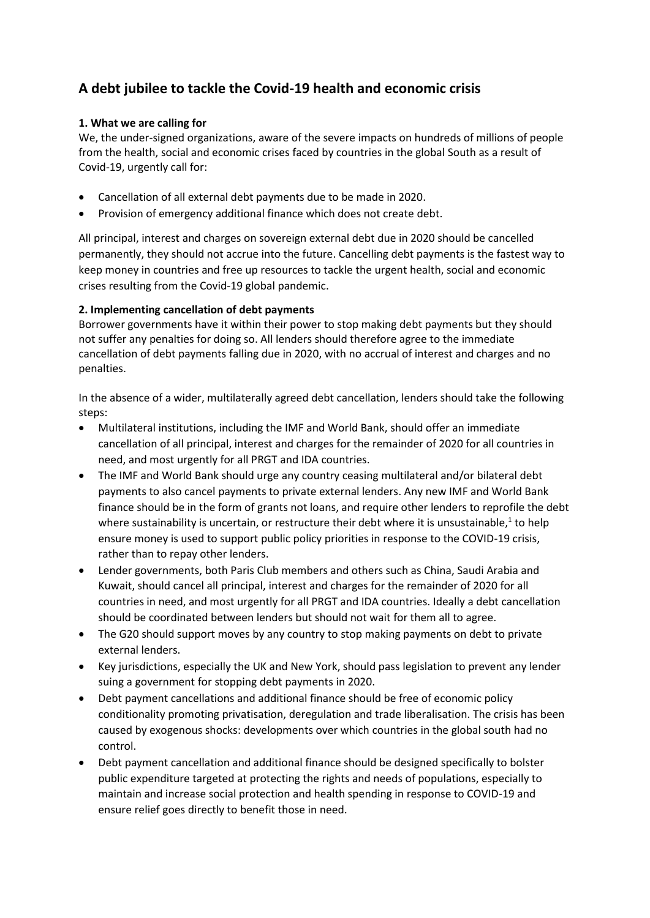# **A debt jubilee to tackle the Covid-19 health and economic crisis**

### **1. What we are calling for**

We, the under-signed organizations, aware of the severe impacts on hundreds of millions of people from the health, social and economic crises faced by countries in the global South as a result of Covid-19, urgently call for:

- Cancellation of all external debt payments due to be made in 2020.
- Provision of emergency additional finance which does not create debt.

All principal, interest and charges on sovereign external debt due in 2020 should be cancelled permanently, they should not accrue into the future. Cancelling debt payments is the fastest way to keep money in countries and free up resources to tackle the urgent health, social and economic crises resulting from the Covid-19 global pandemic.

### **2. Implementing cancellation of debt payments**

Borrower governments have it within their power to stop making debt payments but they should not suffer any penalties for doing so. All lenders should therefore agree to the immediate cancellation of debt payments falling due in 2020, with no accrual of interest and charges and no penalties.

In the absence of a wider, multilaterally agreed debt cancellation, lenders should take the following steps:

- Multilateral institutions, including the IMF and World Bank, should offer an immediate cancellation of all principal, interest and charges for the remainder of 2020 for all countries in need, and most urgently for all PRGT and IDA countries.
- The IMF and World Bank should urge any country ceasing multilateral and/or bilateral debt payments to also cancel payments to private external lenders. Any new IMF and World Bank finance should be in the form of grants not loans, and require other lenders to reprofile the debt where sustainability is uncertain, or restructure their debt where it is unsustainable, $<sup>1</sup>$  to help</sup> ensure money is used to support public policy priorities in response to the COVID-19 crisis, rather than to repay other lenders.
- Lender governments, both Paris Club members and others such as China, Saudi Arabia and Kuwait, should cancel all principal, interest and charges for the remainder of 2020 for all countries in need, and most urgently for all PRGT and IDA countries. Ideally a debt cancellation should be coordinated between lenders but should not wait for them all to agree.
- The G20 should support moves by any country to stop making payments on debt to private external lenders.
- Key jurisdictions, especially the UK and New York, should pass legislation to prevent any lender suing a government for stopping debt payments in 2020.
- Debt payment cancellations and additional finance should be free of economic policy conditionality promoting privatisation, deregulation and trade liberalisation. The crisis has been caused by exogenous shocks: developments over which countries in the global south had no control.
- Debt payment cancellation and additional finance should be designed specifically to bolster public expenditure targeted at protecting the rights and needs of populations, especially to maintain and increase social protection and health spending in response to COVID-19 and ensure relief goes directly to benefit those in need.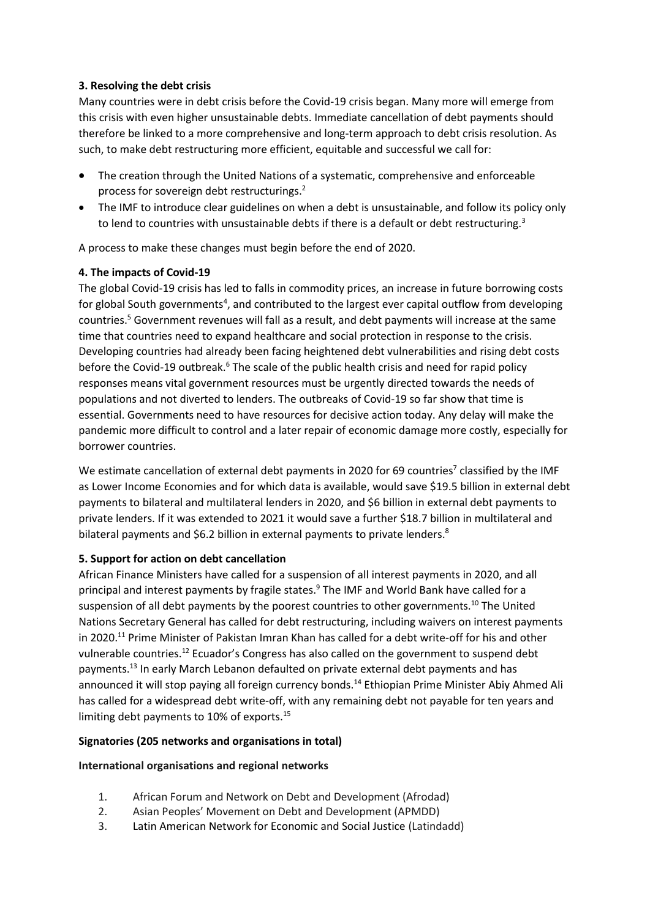# **3. Resolving the debt crisis**

Many countries were in debt crisis before the Covid-19 crisis began. Many more will emerge from this crisis with even higher unsustainable debts. Immediate cancellation of debt payments should therefore be linked to a more comprehensive and long-term approach to debt crisis resolution. As such, to make debt restructuring more efficient, equitable and successful we call for:

- The creation through the United Nations of a systematic, comprehensive and enforceable process for sovereign debt restructurings.<sup>2</sup>
- The IMF to introduce clear guidelines on when a debt is unsustainable, and follow its policy only to lend to countries with unsustainable debts if there is a default or debt restructuring.<sup>3</sup>

A process to make these changes must begin before the end of 2020.

# **4. The impacts of Covid-19**

The global Covid-19 crisis has led to falls in commodity prices, an increase in future borrowing costs for global South governments<sup>4</sup>, and contributed to the largest ever capital outflow from developing countries.<sup>5</sup> Government revenues will fall as a result, and debt payments will increase at the same time that countries need to expand healthcare and social protection in response to the crisis. Developing countries had already been facing heightened debt vulnerabilities and rising debt costs before the Covid-19 outbreak.<sup>6</sup> The scale of the public health crisis and need for rapid policy responses means vital government resources must be urgently directed towards the needs of populations and not diverted to lenders. The outbreaks of Covid-19 so far show that time is essential. Governments need to have resources for decisive action today. Any delay will make the pandemic more difficult to control and a later repair of economic damage more costly, especially for borrower countries.

We estimate cancellation of external debt payments in 2020 for 69 countries<sup>7</sup> classified by the IMF as Lower Income Economies and for which data is available, would save \$19.5 billion in external debt payments to bilateral and multilateral lenders in 2020, and \$6 billion in external debt payments to private lenders. If it was extended to 2021 it would save a further \$18.7 billion in multilateral and bilateral payments and \$6.2 billion in external payments to private lenders.<sup>8</sup>

# **5. Support for action on debt cancellation**

African Finance Ministers have called for a suspension of all interest payments in 2020, and all principal and interest payments by fragile states.<sup>9</sup> The IMF and World Bank have called for a suspension of all debt payments by the poorest countries to other governments.<sup>10</sup> The United Nations Secretary General has called for debt restructuring, including waivers on interest payments in 2020.<sup>11</sup> Prime Minister of Pakistan Imran Khan has called for a debt write-off for his and other vulnerable countries.<sup>12</sup> Ecuador's Congress has also called on the government to suspend debt payments.<sup>13</sup> In early March Lebanon defaulted on private external debt payments and has announced it will stop paying all foreign currency bonds.<sup>14</sup> Ethiopian Prime Minister Abiy Ahmed Ali has called for a widespread debt write-off, with any remaining debt not payable for ten years and limiting debt payments to 10% of exports.<sup>15</sup>

# **Signatories (205 networks and organisations in total)**

# **International organisations and regional networks**

- 1. African Forum and Network on Debt and Development (Afrodad)
- 2. Asian Peoples' Movement on Debt and Development (APMDD)
- 3. Latin American Network for Economic and Social Justice (Latindadd)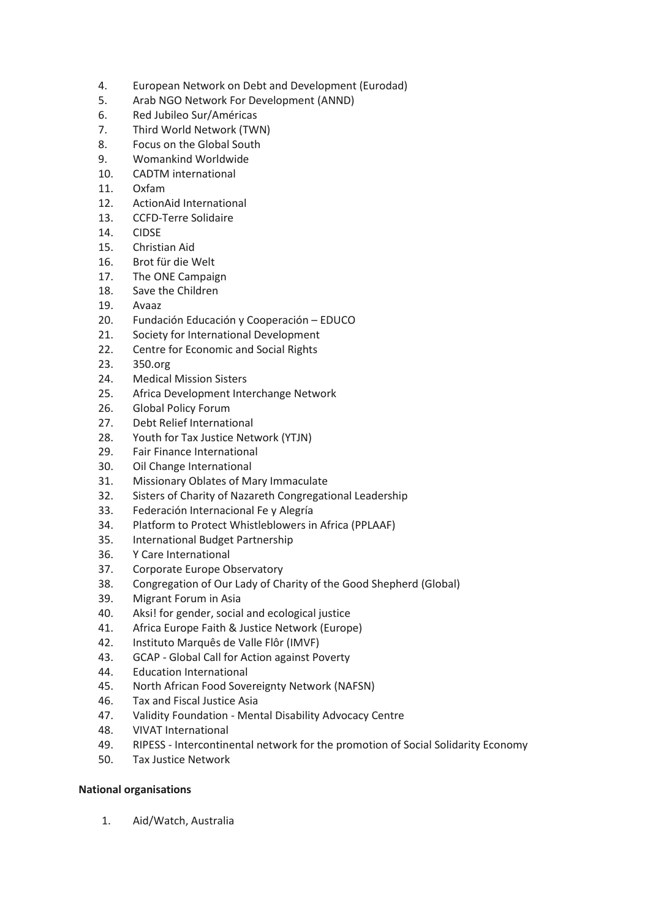- 4. European Network on Debt and Development (Eurodad)
- 5. Arab NGO Network For Development (ANND)
- 6. Red Jubileo Sur/Américas
- 7. Third World Network (TWN)
- 8. Focus on the Global South
- 9. Womankind Worldwide
- 10. CADTM international
- 11. Oxfam
- 12. ActionAid International
- 13. CCFD-Terre Solidaire
- 14. CIDSE
- 15. Christian Aid
- 16. Brot für die Welt
- 17. The ONE Campaign
- 18. Save the Children
- 19. Avaaz
- 20. Fundación Educación y Cooperación EDUCO
- 21. Society for International Development
- 22. Centre for Economic and Social Rights
- 23. 350.org
- 24. Medical Mission Sisters
- 25. Africa Development Interchange Network
- 26. Global Policy Forum
- 27. Debt Relief International
- 28. Youth for Tax Justice Network (YTJN)
- 29. Fair Finance International
- 30. Oil Change International
- 31. Missionary Oblates of Mary Immaculate
- 32. Sisters of Charity of Nazareth Congregational Leadership
- 33. Federación Internacional Fe y Alegría
- 34. Platform to Protect Whistleblowers in Africa (PPLAAF)
- 35. International Budget Partnership
- 36. Y Care International
- 37. Corporate Europe Observatory
- 38. Congregation of Our Lady of Charity of the Good Shepherd (Global)
- 39. Migrant Forum in Asia
- 40. Aksi! for gender, social and ecological justice
- 41. Africa Europe Faith & Justice Network (Europe)
- 42. Instituto Marquês de Valle Flôr (IMVF)
- 43. GCAP Global Call for Action against Poverty
- 44. Education International
- 45. North African Food Sovereignty Network (NAFSN)
- 46. Tax and Fiscal Justice Asia
- 47. Validity Foundation Mental Disability Advocacy Centre
- 48. VIVAT International
- 49. RIPESS Intercontinental network for the promotion of Social Solidarity Economy
- 50. Tax Justice Network

# **National organisations**

1. Aid/Watch, Australia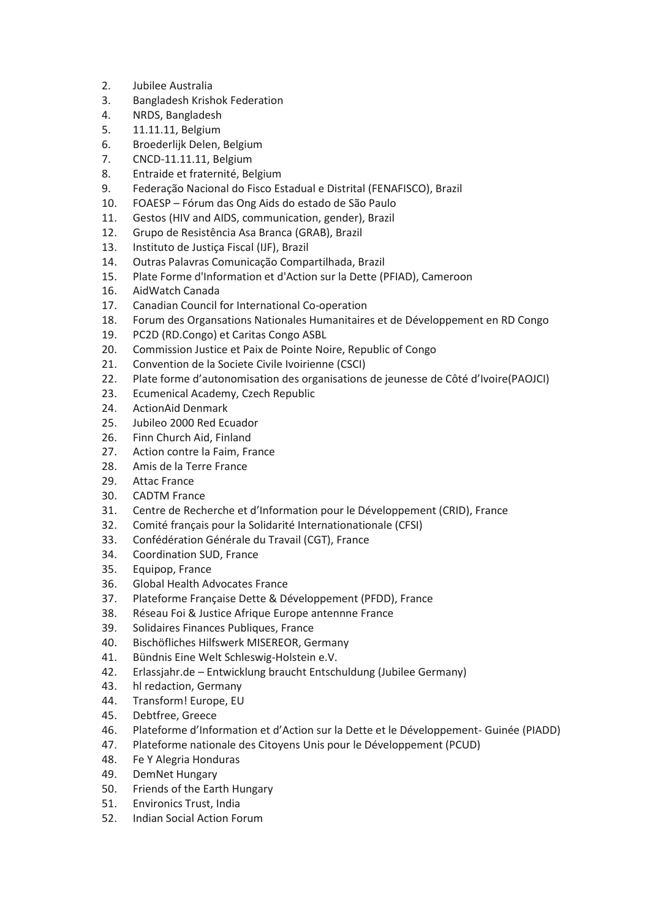- 2. Jubilee Australia
- 3. Bangladesh Krishok Federation
- 4. NRDS, Bangladesh
- 5. 11.11.11, Belgium
- 6. Broederlijk Delen, Belgium
- 7. CNCD-11.11.11, Belgium
- 8. Entraide et fraternité, Belgium
- 9. Federação Nacional do Fisco Estadual e Distrital (FENAFISCO), Brazil
- 10. FOAESP Fórum das Ong Aids do estado de São Paulo
- 11. Gestos (HIV and AIDS, communication, gender), Brazil
- 12. Grupo de Resistência Asa Branca (GRAB), Brazil
- 13. Instituto de Justiça Fiscal (IJF), Brazil
- 14. Outras Palavras Comunicação Compartilhada, Brazil
- 15. Plate Forme d'Information et d'Action sur la Dette (PFIAD), Cameroon
- 16. AidWatch Canada
- 17. Canadian Council for International Co-operation
- 18. Forum des Organsations Nationales Humanitaires et de Développement en RD Congo
- 19. PC2D (RD.Congo) et Caritas Congo ASBL
- 20. Commission Justice et Paix de Pointe Noire, Republic of Congo
- 21. Convention de la Societe Civile Ivoirienne (CSCI)
- 22. Plate forme d'autonomisation des organisations de jeunesse de Côté d'Ivoire(PAOJCI)
- 23. Ecumenical Academy, Czech Republic
- 24. ActionAid Denmark
- 25. Jubileo 2000 Red Ecuador
- 26. Finn Church Aid, Finland
- 27. Action contre la Faim, France
- 28. Amis de la Terre France
- 29. Attac France
- 30. CADTM France
- 31. Centre de Recherche et d'Information pour le Développement (CRID), France
- 32. Comité français pour la Solidarité Internationationale (CFSI)
- 33. Confédération Générale du Travail (CGT), France
- 34. Coordination SUD, France
- 35. Equipop, France
- 36. Global Health Advocates France
- 37. Plateforme Française Dette & Développement (PFDD), France
- 38. Réseau Foi & Justice Afrique Europe antennne France
- 39. Solidaires Finances Publiques, France
- 40. Bischöfliches Hilfswerk MISEREOR, Germany
- 41. Bündnis Eine Welt Schleswig-Holstein e.V.
- 42. Erlassjahr.de Entwicklung braucht Entschuldung (Jubilee Germany)
- 43. hl redaction, Germany
- 44. Transform! Europe, EU
- 45. Debtfree, Greece
- 46. Plateforme d'Information et d'Action sur la Dette et le Développement- Guinée (PIADD)
- 47. Plateforme nationale des Citoyens Unis pour le Développement (PCUD)
- 48. Fe Y Alegria Honduras
- 49. DemNet Hungary
- 50. Friends of the Earth Hungary
- 51. Environics Trust, India
- 52. Indian Social Action Forum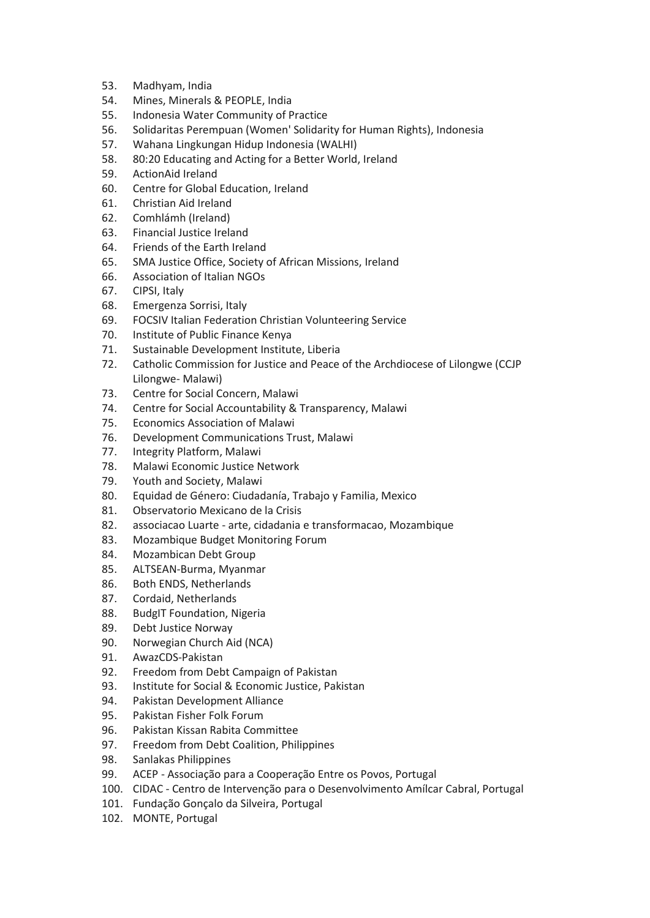- 53. Madhyam, India
- 54. Mines, Minerals & PEOPLE, India
- 55. Indonesia Water Community of Practice
- 56. Solidaritas Perempuan (Women' Solidarity for Human Rights), Indonesia
- 57. Wahana Lingkungan Hidup Indonesia (WALHI)
- 58. 80:20 Educating and Acting for a Better World, Ireland
- 59. ActionAid Ireland
- 60. Centre for Global Education, Ireland
- 61. Christian Aid Ireland
- 62. Comhlámh (Ireland)
- 63. Financial Justice Ireland
- 64. Friends of the Earth Ireland
- 65. SMA Justice Office, Society of African Missions, Ireland
- 66. Association of Italian NGOs
- 67. CIPSI, Italy
- 68. Emergenza Sorrisi, Italy
- 69. FOCSIV Italian Federation Christian Volunteering Service
- 70. Institute of Public Finance Kenya
- 71. Sustainable Development Institute, Liberia
- 72. Catholic Commission for Justice and Peace of the Archdiocese of Lilongwe (CCJP Lilongwe- Malawi)
- 73. Centre for Social Concern, Malawi
- 74. Centre for Social Accountability & Transparency, Malawi
- 75. Economics Association of Malawi
- 76. Development Communications Trust, Malawi
- 77. Integrity Platform, Malawi
- 78. Malawi Economic Justice Network
- 79. Youth and Society, Malawi
- 80. Equidad de Género: Ciudadanía, Trabajo y Familia, Mexico
- 81. Observatorio Mexicano de la Crisis
- 82. associacao Luarte arte, cidadania e transformacao, Mozambique
- 83. Mozambique Budget Monitoring Forum
- 84. Mozambican Debt Group
- 85. ALTSEAN-Burma, Myanmar
- 86. Both ENDS, Netherlands
- 87. Cordaid, Netherlands
- 88. BudgIT Foundation, Nigeria
- 89. Debt Justice Norway
- 90. Norwegian Church Aid (NCA)
- 91. AwazCDS-Pakistan
- 92. Freedom from Debt Campaign of Pakistan
- 93. Institute for Social & Economic Justice, Pakistan
- 94. Pakistan Development Alliance
- 95. Pakistan Fisher Folk Forum
- 96. Pakistan Kissan Rabita Committee
- 97. Freedom from Debt Coalition, Philippines
- 98. Sanlakas Philippines
- 99. ACEP Associação para a Cooperação Entre os Povos, Portugal
- 100. CIDAC Centro de Intervenção para o Desenvolvimento Amílcar Cabral, Portugal
- 101. Fundação Gonçalo da Silveira, Portugal
- 102. MONTE, Portugal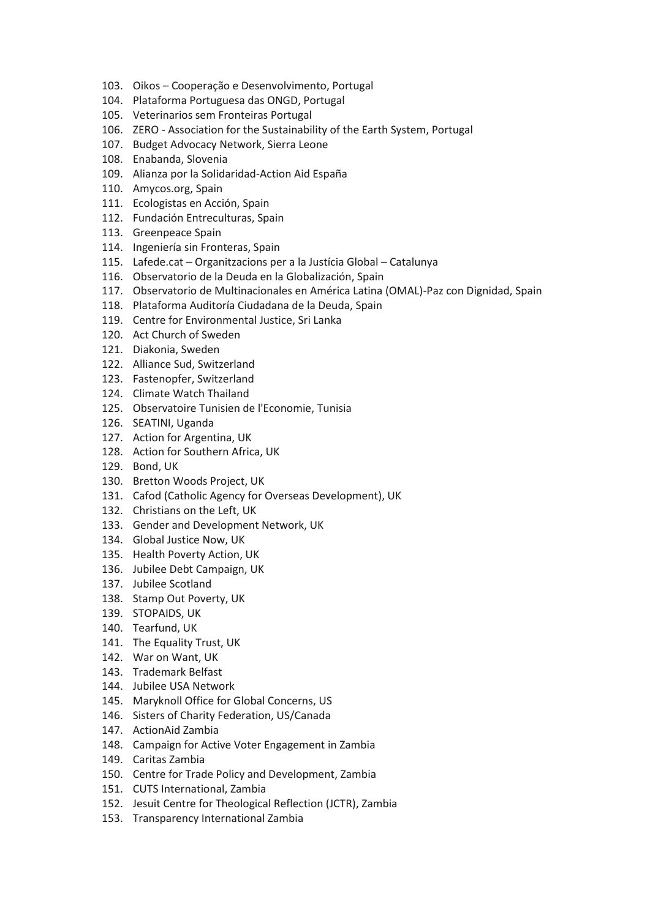- 103. Oikos Cooperação e Desenvolvimento, Portugal
- 104. Plataforma Portuguesa das ONGD, Portugal
- 105. Veterinarios sem Fronteiras Portugal
- 106. ZERO Association for the Sustainability of the Earth System, Portugal
- 107. Budget Advocacy Network, Sierra Leone
- 108. Enabanda, Slovenia
- 109. Alianza por la Solidaridad-Action Aid España
- 110. Amycos.org, Spain
- 111. Ecologistas en Acción, Spain
- 112. Fundación Entreculturas, Spain
- 113. Greenpeace Spain
- 114. Ingeniería sin Fronteras, Spain
- 115. Lafede.cat Organitzacions per a la Justícia Global Catalunya
- 116. Observatorio de la Deuda en la Globalización, Spain
- 117. Observatorio de Multinacionales en América Latina (OMAL)-Paz con Dignidad, Spain
- 118. Plataforma Auditoría Ciudadana de la Deuda, Spain
- 119. Centre for Environmental Justice, Sri Lanka
- 120. Act Church of Sweden
- 121. Diakonia, Sweden
- 122. Alliance Sud, Switzerland
- 123. Fastenopfer, Switzerland
- 124. Climate Watch Thailand
- 125. Observatoire Tunisien de l'Economie, Tunisia
- 126. SEATINI, Uganda
- 127. Action for Argentina, UK
- 128. Action for Southern Africa, UK
- 129. Bond, UK
- 130. Bretton Woods Project, UK
- 131. Cafod (Catholic Agency for Overseas Development), UK
- 132. Christians on the Left, UK
- 133. Gender and Development Network, UK
- 134. Global Justice Now, UK
- 135. Health Poverty Action, UK
- 136. Jubilee Debt Campaign, UK
- 137. Jubilee Scotland
- 138. Stamp Out Poverty, UK
- 139. STOPAIDS, UK
- 140. Tearfund, UK
- 141. The Equality Trust, UK
- 142. War on Want, UK
- 143. Trademark Belfast
- 144. Jubilee USA Network
- 145. Maryknoll Office for Global Concerns, US
- 146. Sisters of Charity Federation, US/Canada
- 147. ActionAid Zambia
- 148. Campaign for Active Voter Engagement in Zambia
- 149. Caritas Zambia
- 150. Centre for Trade Policy and Development, Zambia
- 151. CUTS International, Zambia
- 152. Jesuit Centre for Theological Reflection (JCTR), Zambia
- 153. Transparency International Zambia